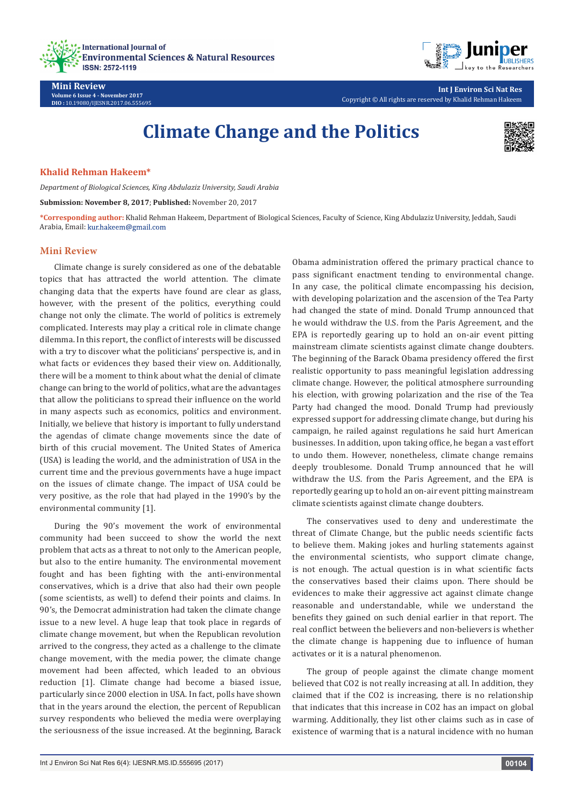



**Int J Environ Sci Nat Res** Copyright © All rights are reserved by Khalid Rehman Hakeem

# **Climate Change and the Politics**



## **Khalid Rehman Hakeem\***

**Volume 6 Issue 4 - November 2017 DIO :** [10.19080/IJESNR.2017.06.555695](http://dx.doi.org/10.19080/IJESNR.2017.06.555695)

**Mini Review**

*Department of Biological Sciences, King Abdulaziz University, Saudi Arabia*

**Submission: November 8, 2017**; **Published:** November 20, 2017

**\*Corresponding author:** Khalid Rehman Hakeem, Department of Biological Sciences, Faculty of Science, King Abdulaziz University, Jeddah, Saudi Arabia, Email: kur.hakeem@gmail.com

## **Mini Review**

Climate change is surely considered as one of the debatable topics that has attracted the world attention. The climate changing data that the experts have found are clear as glass, however, with the present of the politics, everything could change not only the climate. The world of politics is extremely complicated. Interests may play a critical role in climate change dilemma. In this report, the conflict of interests will be discussed with a try to discover what the politicians' perspective is, and in what facts or evidences they based their view on. Additionally, there will be a moment to think about what the denial of climate change can bring to the world of politics, what are the advantages that allow the politicians to spread their influence on the world in many aspects such as economics, politics and environment. Initially, we believe that history is important to fully understand the agendas of climate change movements since the date of birth of this crucial movement. The United States of America (USA) is leading the world, and the administration of USA in the current time and the previous governments have a huge impact on the issues of climate change. The impact of USA could be very positive, as the role that had played in the 1990's by the environmental community [1].

During the 90's movement the work of environmental community had been succeed to show the world the next problem that acts as a threat to not only to the American people, but also to the entire humanity. The environmental movement fought and has been fighting with the anti-environmental conservatives, which is a drive that also had their own people (some scientists, as well) to defend their points and claims. In 90's, the Democrat administration had taken the climate change issue to a new level. A huge leap that took place in regards of climate change movement, but when the Republican revolution arrived to the congress, they acted as a challenge to the climate change movement, with the media power, the climate change movement had been affected, which leaded to an obvious reduction [1]. Climate change had become a biased issue, particularly since 2000 election in USA. In fact, polls have shown that in the years around the election, the percent of Republican survey respondents who believed the media were overplaying the seriousness of the issue increased. At the beginning, Barack Obama administration offered the primary practical chance to pass significant enactment tending to environmental change. In any case, the political climate encompassing his decision, with developing polarization and the ascension of the Tea Party had changed the state of mind. Donald Trump announced that he would withdraw the U.S. from the Paris Agreement, and the EPA is reportedly gearing up to hold an on-air event pitting mainstream climate scientists against climate change doubters. The beginning of the Barack Obama presidency offered the first realistic opportunity to pass meaningful legislation addressing climate change. However, the political atmosphere surrounding his election, with growing polarization and the rise of the Tea Party had changed the mood. Donald Trump had previously expressed support for addressing climate change, but during his campaign, he railed against regulations he said hurt American businesses. In addition, upon taking office, he began a vast effort to undo them. However, nonetheless, climate change remains deeply troublesome. Donald Trump announced that he will withdraw the U.S. from the Paris Agreement, and the EPA is reportedly gearing up to hold an on-air event pitting mainstream climate scientists against climate change doubters.

The conservatives used to deny and underestimate the threat of Climate Change, but the public needs scientific facts to believe them. Making jokes and hurling statements against the environmental scientists, who support climate change, is not enough. The actual question is in what scientific facts the conservatives based their claims upon. There should be evidences to make their aggressive act against climate change reasonable and understandable, while we understand the benefits they gained on such denial earlier in that report. The real conflict between the believers and non-believers is whether the climate change is happening due to influence of human activates or it is a natural phenomenon.

The group of people against the climate change moment believed that CO2 is not really increasing at all. In addition, they claimed that if the CO2 is increasing, there is no relationship that indicates that this increase in CO2 has an impact on global warming. Additionally, they list other claims such as in case of existence of warming that is a natural incidence with no human